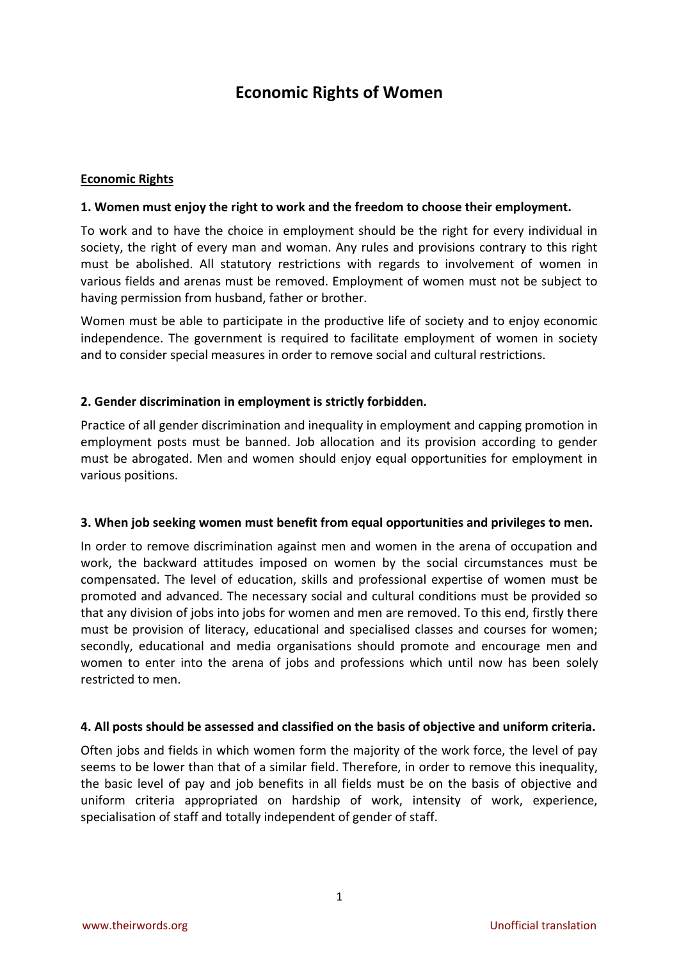# **Economic Rights of Women**

## **Economic Rights**

## **1. Women must enjoy the right to work and the freedom to choose their employment.**

To work and to have the choice in employment should be the right for every individual in society, the right of every man and woman. Any rules and provisions contrary to this right must be abolished. All statutory restrictions with regards to involvement of women in various fields and arenas must be removed. Employment of women must not be subject to having permission from husband, father or brother.

Women must be able to participate in the productive life of society and to enjoy economic independence. The government is required to facilitate employment of women in society and to consider special measures in order to remove social and cultural restrictions.

# **2. Gender discrimination in employment is strictly forbidden.**

Practice of all gender discrimination and inequality in employment and capping promotion in employment posts must be banned. Job allocation and its provision according to gender must be abrogated. Men and women should enjoy equal opportunities for employment in various positions.

#### **3. When job seeking women must benefit from equal opportunities and privileges to men.**

In order to remove discrimination against men and women in the arena of occupation and work, the backward attitudes imposed on women by the social circumstances must be compensated. The level of education, skills and professional expertise of women must be promoted and advanced. The necessary social and cultural conditions must be provided so that any division of jobs into jobs for women and men are removed. To this end, firstly there must be provision of literacy, educational and specialised classes and courses for women; secondly, educational and media organisations should promote and encourage men and women to enter into the arena of jobs and professions which until now has been solely restricted to men.

#### **4. All posts should be assessed and classified on the basis of objective and uniform criteria.**

Often jobs and fields in which women form the majority of the work force, the level of pay seems to be lower than that of a similar field. Therefore, in order to remove this inequality, the basic level of pay and job benefits in all fields must be on the basis of objective and uniform criteria appropriated on hardship of work, intensity of work, experience, specialisation of staff and totally independent of gender of staff.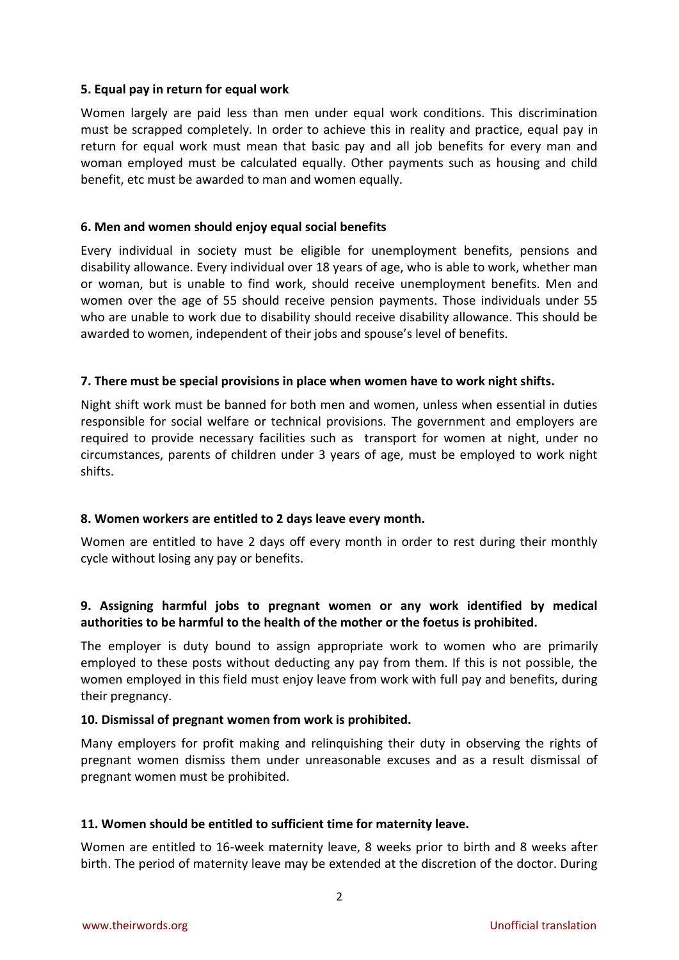#### **5. Equal pay in return for equal work**

Women largely are paid less than men under equal work conditions. This discrimination must be scrapped completely. In order to achieve this in reality and practice, equal pay in return for equal work must mean that basic pay and all job benefits for every man and woman employed must be calculated equally. Other payments such as housing and child benefit, etc must be awarded to man and women equally.

# **6. Men and women should enjoy equal social benefits**

Every individual in society must be eligible for unemployment benefits, pensions and disability allowance. Every individual over 18 years of age, who is able to work, whether man or woman, but is unable to find work, should receive unemployment benefits. Men and women over the age of 55 should receive pension payments. Those individuals under 55 who are unable to work due to disability should receive disability allowance. This should be awarded to women, independent of their jobs and spouse's level of benefits.

# **7. There must be special provisions in place when women have to work night shifts.**

Night shift work must be banned for both men and women, unless when essential in duties responsible for social welfare or technical provisions. The government and employers are required to provide necessary facilities such as transport for women at night, under no circumstances, parents of children under 3 years of age, must be employed to work night shifts.

# **8. Women workers are entitled to 2 days leave every month.**

Women are entitled to have 2 days off every month in order to rest during their monthly cycle without losing any pay or benefits.

# **9. Assigning harmful jobs to pregnant women or any work identified by medical authorities to be harmful to the health of the mother or the foetus is prohibited.**

The employer is duty bound to assign appropriate work to women who are primarily employed to these posts without deducting any pay from them. If this is not possible, the women employed in this field must enjoy leave from work with full pay and benefits, during their pregnancy.

#### **10. Dismissal of pregnant women from work is prohibited.**

Many employers for profit making and relinquishing their duty in observing the rights of pregnant women dismiss them under unreasonable excuses and as a result dismissal of pregnant women must be prohibited.

# **11. Women should be entitled to sufficient time for maternity leave.**

Women are entitled to 16-week maternity leave, 8 weeks prior to birth and 8 weeks after birth. The period of maternity leave may be extended at the discretion of the doctor. During